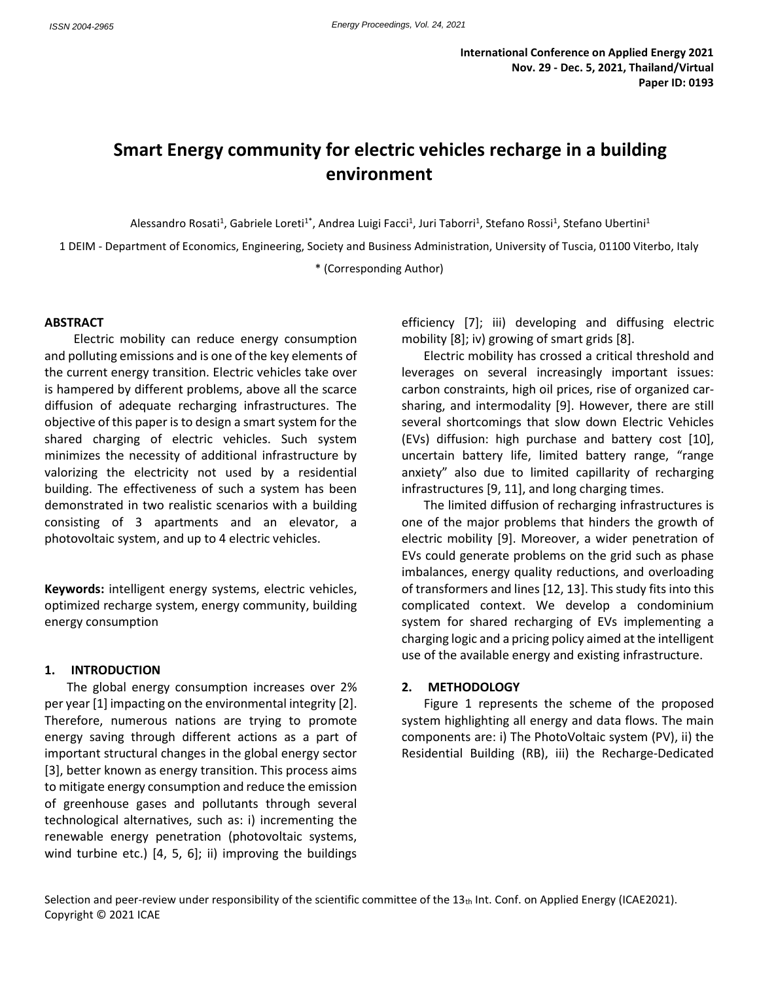# **Smart Energy community for electric vehicles recharge in a building environment**

Alessandro Rosati<sup>1</sup>, Gabriele Loreti<sup>1\*</sup>, Andrea Luigi Facci<sup>1</sup>, Juri Taborri<sup>1</sup>, Stefano Rossi<sup>1</sup>, Stefano Ubertini<sup>1</sup>

1 DEIM - Department of Economics, Engineering, Society and Business Administration, University of Tuscia, 01100 Viterbo, Italy

\* (Corresponding Author)

### **ABSTRACT**

Electric mobility can reduce energy consumption and polluting emissions and is one of the key elements of the current energy transition. Electric vehicles take over is hampered by different problems, above all the scarce diffusion of adequate recharging infrastructures. The objective of this paper is to design a smart system for the shared charging of electric vehicles. Such system minimizes the necessity of additional infrastructure by valorizing the electricity not used by a residential building. The effectiveness of such a system has been demonstrated in two realistic scenarios with a building consisting of 3 apartments and an elevator, a photovoltaic system, and up to 4 electric vehicles.

**Keywords:** intelligent energy systems, electric vehicles, optimized recharge system, energy community, building energy consumption

#### **1. INTRODUCTION**

The global energy consumption increases over 2% per year [1] impacting on the environmental integrity [2]. Therefore, numerous nations are trying to promote energy saving through different actions as a part of important structural changes in the global energy sector [3], better known as energy transition. This process aims to mitigate energy consumption and reduce the emission of greenhouse gases and pollutants through several technological alternatives, such as: i) incrementing the renewable energy penetration (photovoltaic systems, wind turbine etc.) [4, 5, 6]; ii) improving the buildings

efficiency [7]; iii) developing and diffusing electric mobility [8]; iv) growing of smart grids [8].

Electric mobility has crossed a critical threshold and leverages on several increasingly important issues: carbon constraints, high oil prices, rise of organized carsharing, and intermodality [9]. However, there are still several shortcomings that slow down Electric Vehicles (EVs) diffusion: high purchase and battery cost [10], uncertain battery life, limited battery range, "range anxiety" also due to limited capillarity of recharging infrastructures [9, 11], and long charging times.

The limited diffusion of recharging infrastructures is one of the major problems that hinders the growth of electric mobility [9]. Moreover, a wider penetration of EVs could generate problems on the grid such as phase imbalances, energy quality reductions, and overloading of transformers and lines [12, 13]. This study fits into this complicated context. We develop a condominium system for shared recharging of EVs implementing a charging logic and a pricing policy aimed at the intelligent use of the available energy and existing infrastructure.

#### **2. METHODOLOGY**

[Figure 1](#page-1-0) represents the scheme of the proposed system highlighting all energy and data flows. The main components are: i) The PhotoVoltaic system (PV), ii) the Residential Building (RB), iii) the Recharge-Dedicated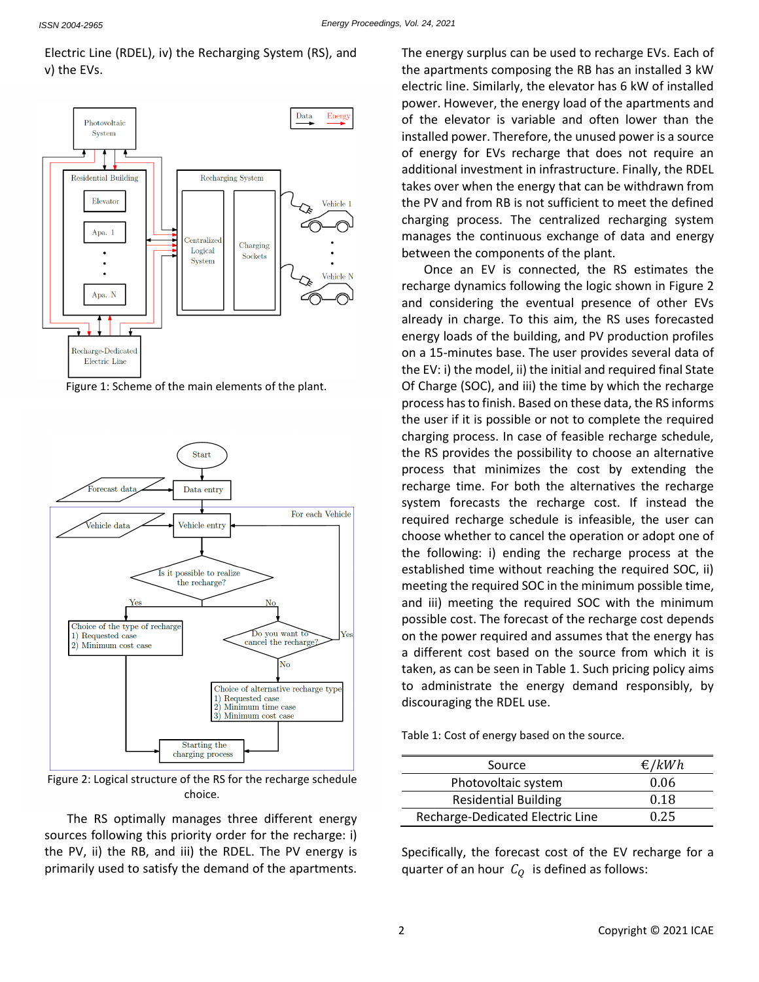# Electric Line (RDEL), iv) the Recharging System (RS), and v) the EVs.



<span id="page-1-0"></span>



<span id="page-1-1"></span>Figure 2: Logical structure of the RS for the recharge schedule choice.

The RS optimally manages three different energy sources following this priority order for the recharge: i) the PV, ii) the RB, and iii) the RDEL. The PV energy is primarily used to satisfy the demand of the apartments.

The energy surplus can be used to recharge EVs. Each of the apartments composing the RB has an installed 3 kW electric line. Similarly, the elevator has 6 kW of installed power. However, the energy load of the apartments and of the elevator is variable and often lower than the installed power. Therefore, the unused power is a source of energy for EVs recharge that does not require an additional investment in infrastructure. Finally, the RDEL takes over when the energy that can be withdrawn from the PV and from RB is not sufficient to meet the defined charging process. The centralized recharging system manages the continuous exchange of data and energy between the components of the plant.

Once an EV is connected, the RS estimates the recharge dynamics following the logic shown in [Figure 2](#page-1-1) and considering the eventual presence of other EVs already in charge. To this aim, the RS uses forecasted energy loads of the building, and PV production profiles on a 15-minutes base. The user provides several data of the EV: i) the model, ii) the initial and required final State Of Charge (SOC), and iii) the time by which the recharge process has to finish. Based on these data, the RS informs the user if it is possible or not to complete the required charging process. In case of feasible recharge schedule, the RS provides the possibility to choose an alternative process that minimizes the cost by extending the recharge time. For both the alternatives the recharge system forecasts the recharge cost. If instead the required recharge schedule is infeasible, the user can choose whether to cancel the operation or adopt one of the following: i) ending the recharge process at the established time without reaching the required SOC, ii) meeting the required SOC in the minimum possible time, and iii) meeting the required SOC with the minimum possible cost. The forecast of the recharge cost depends on the power required and assumes that the energy has a different cost based on the source from which it is taken, as can be seen i[n Table 1.](#page-1-2) Such pricing policy aims to administrate the energy demand responsibly, by discouraging the RDEL use.

<span id="page-1-2"></span>Table 1: Cost of energy based on the source.

| Source                           | €/ $kWh$ |
|----------------------------------|----------|
| Photovoltaic system              | 0.06     |
| <b>Residential Building</b>      | 0.18     |
| Recharge-Dedicated Electric Line | 0.25     |

Specifically, the forecast cost of the EV recharge for a quarter of an hour  $C<sub>O</sub>$  is defined as follows: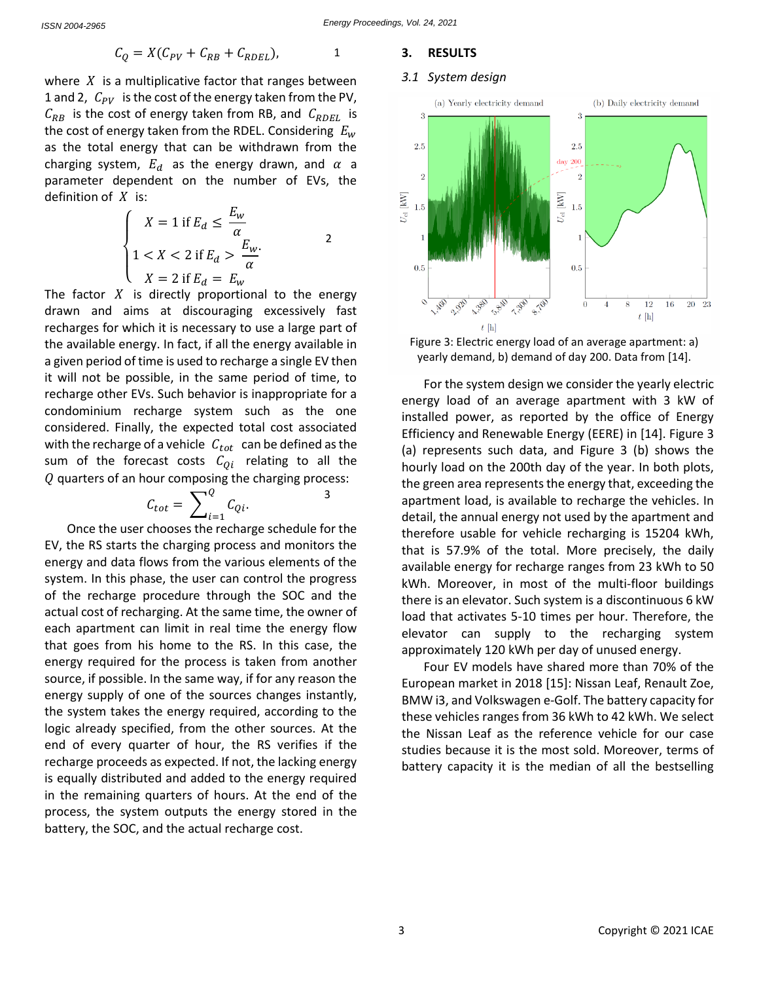$$
C_Q = X(C_{PV} + C_{RB} + C_{RDEL}),
$$
 1

where  $X$  is a multiplicative factor that ranges between 1 and 2,  $C_{PV}$  is the cost of the energy taken from the PV,  $C_{RB}$  is the cost of energy taken from RB, and  $C_{RDEL}$  is the cost of energy taken from the RDEL. Considering  $E_w$ as the total energy that can be withdrawn from the charging system,  $E_d$  as the energy drawn, and  $\alpha$  a parameter dependent on the number of EVs, the definition of  $X$  is:

$$
\begin{cases}\nX = 1 \text{ if } E_d \le \frac{E_w}{\alpha} \\
1 < X < 2 \text{ if } E_d > \frac{E_w}{\alpha} \\
X = 2 \text{ if } E_d = E_w\n\end{cases}
$$
\n<sup>2</sup>

The factor  $X$  is directly proportional to the energy drawn and aims at discouraging excessively fast recharges for which it is necessary to use a large part of the available energy. In fact, if all the energy available in a given period of time is used to recharge a single EV then it will not be possible, in the same period of time, to recharge other EVs. Such behavior is inappropriate for a condominium recharge system such as the one considered. Finally, the expected total cost associated with the recharge of a vehicle  $C_{tot}$  can be defined as the sum of the forecast costs  $C_{0i}$  relating to all the  $Q$  quarters of an hour composing the charging process:

$$
C_{tot} = \sum_{i=1}^{Q} C_{Qi}.
$$

3

Once the user chooses the recharge schedule for the EV, the RS starts the charging process and monitors the energy and data flows from the various elements of the system. In this phase, the user can control the progress of the recharge procedure through the SOC and the actual cost of recharging. At the same time, the owner of each apartment can limit in real time the energy flow that goes from his home to the RS. In this case, the energy required for the process is taken from another source, if possible. In the same way, if for any reason the energy supply of one of the sources changes instantly, the system takes the energy required, according to the logic already specified, from the other sources. At the end of every quarter of hour, the RS verifies if the recharge proceeds as expected. If not, the lacking energy is equally distributed and added to the energy required in the remaining quarters of hours. At the end of the process, the system outputs the energy stored in the battery, the SOC, and the actual recharge cost.

#### **3. RESULTS**

#### *3.1 System design*



<span id="page-2-1"></span><span id="page-2-0"></span>Figure 3: Electric energy load of an average apartment: a) yearly demand, b) demand of day 200. Data from [14].

For the system design we consider the yearly electric energy load of an average apartment with 3 kW of installed power, as reported by the office of Energy Efficiency and Renewable Energy (EERE) in [14]. [Figure 3](#page-2-0) (a) represents such data, and [Figure 3](#page-2-0) (b) shows the hourly load on the 200th day of the year. In both plots, the green area represents the energy that, exceeding the apartment load, is available to recharge the vehicles. In detail, the annual energy not used by the apartment and therefore usable for vehicle recharging is 15204 kWh, that is 57.9% of the total. More precisely, the daily available energy for recharge ranges from 23 kWh to 50 kWh. Moreover, in most of the multi-floor buildings there is an elevator. Such system is a discontinuous 6 kW load that activates 5-10 times per hour. Therefore, the elevator can supply to the recharging system approximately 120 kWh per day of unused energy.

Four EV models have shared more than 70% of the European market in 2018 [15]: Nissan Leaf, Renault Zoe, BMW i3, and Volkswagen e-Golf. The battery capacity for these vehicles ranges from 36 kWh to 42 kWh. We select the Nissan Leaf as the reference vehicle for our case studies because it is the most sold. Moreover, terms of battery capacity it is the median of all the bestselling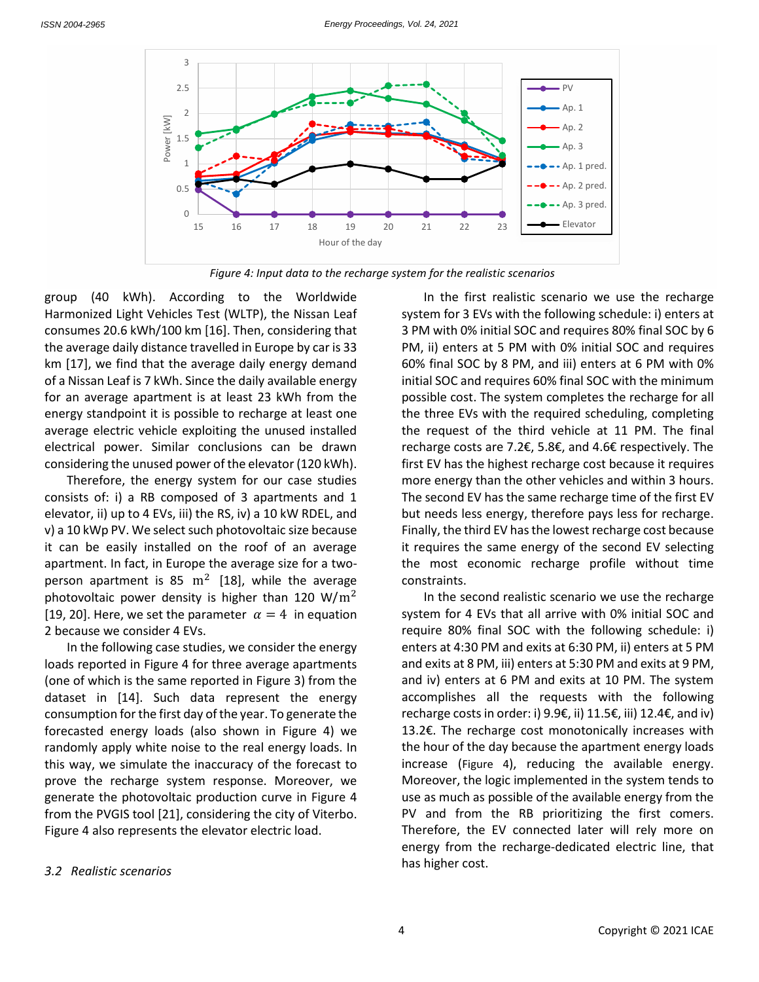

*Figure 4: Input data to the recharge system for the realistic scenarios*

<span id="page-3-0"></span>group (40 kWh). According to the Worldwide Harmonized Light Vehicles Test (WLTP), the Nissan Leaf consumes 20.6 kWh/100 km [16]. Then, considering that the average daily distance travelled in Europe by car is 33 km [17], we find that the average daily energy demand of a Nissan Leaf is 7 kWh. Since the daily available energy for an average apartment is at least 23 kWh from the energy standpoint it is possible to recharge at least one average electric vehicle exploiting the unused installed electrical power. Similar conclusions can be drawn considering the unused power of the elevator (120 kWh).

Therefore, the energy system for our case studies consists of: i) a RB composed of 3 apartments and 1 elevator, ii) up to 4 EVs, iii) the RS, iv) a 10 kW RDEL, and v) a 10 kWp PV. We select such photovoltaic size because it can be easily installed on the roof of an average apartment. In fact, in Europe the average size for a twoperson apartment is 85  $\mathrm{m}^2$  [18], while the average photovoltaic power density is higher than 120 W/ $m^2$ [19, 20]. Here, we set the parameter  $\alpha = 4$  in equation [2](#page-2-1) because we consider 4 EVs.

In the following case studies, we consider the energy loads reported in [Figure 4](#page-3-0) for three average apartments (one of which is the same reported i[n Figure 3\)](#page-2-0) from the dataset in [14]. Such data represent the energy consumption for the first day of the year. To generate the forecasted energy loads (also shown in [Figure 4\)](#page-3-0) we randomly apply white noise to the real energy loads. In this way, we simulate the inaccuracy of the forecast to prove the recharge system response. Moreover, we generate the photovoltaic production curve in [Figure 4](#page-3-0) from the PVGIS tool [21], considering the city of Viterbo. [Figure 4](#page-3-0) also represents the elevator electric load.

*3.2 Realistic scenarios*

In the first realistic scenario we use the recharge system for 3 EVs with the following schedule: i) enters at 3 PM with 0% initial SOC and requires 80% final SOC by 6 PM, ii) enters at 5 PM with 0% initial SOC and requires 60% final SOC by 8 PM, and iii) enters at 6 PM with 0% initial SOC and requires 60% final SOC with the minimum possible cost. The system completes the recharge for all the three EVs with the required scheduling, completing the request of the third vehicle at 11 PM. The final recharge costs are 7.2€, 5.8€, and 4.6€ respectively. The first EV has the highest recharge cost because it requires more energy than the other vehicles and within 3 hours. The second EV has the same recharge time of the first EV but needs less energy, therefore pays less for recharge. Finally, the third EV has the lowest recharge cost because it requires the same energy of the second EV selecting the most economic recharge profile without time constraints.

In the second realistic scenario we use the recharge system for 4 EVs that all arrive with 0% initial SOC and require 80% final SOC with the following schedule: i) enters at 4:30 PM and exits at 6:30 PM, ii) enters at 5 PM and exits at 8 PM, iii) enters at 5:30 PM and exits at 9 PM, and iv) enters at 6 PM and exits at 10 PM. The system accomplishes all the requests with the following recharge costs in order: i) 9.9€, ii) 11.5€, iii) 12.4€, and iv) 13.2€. The recharge cost monotonically increases with the hour of the day because the apartment energy loads increase ([Figure 4](#page-3-0)), reducing the available energy. Moreover, the logic implemented in the system tends to use as much as possible of the available energy from the PV and from the RB prioritizing the first comers. Therefore, the EV connected later will rely more on energy from the recharge-dedicated electric line, that has higher cost.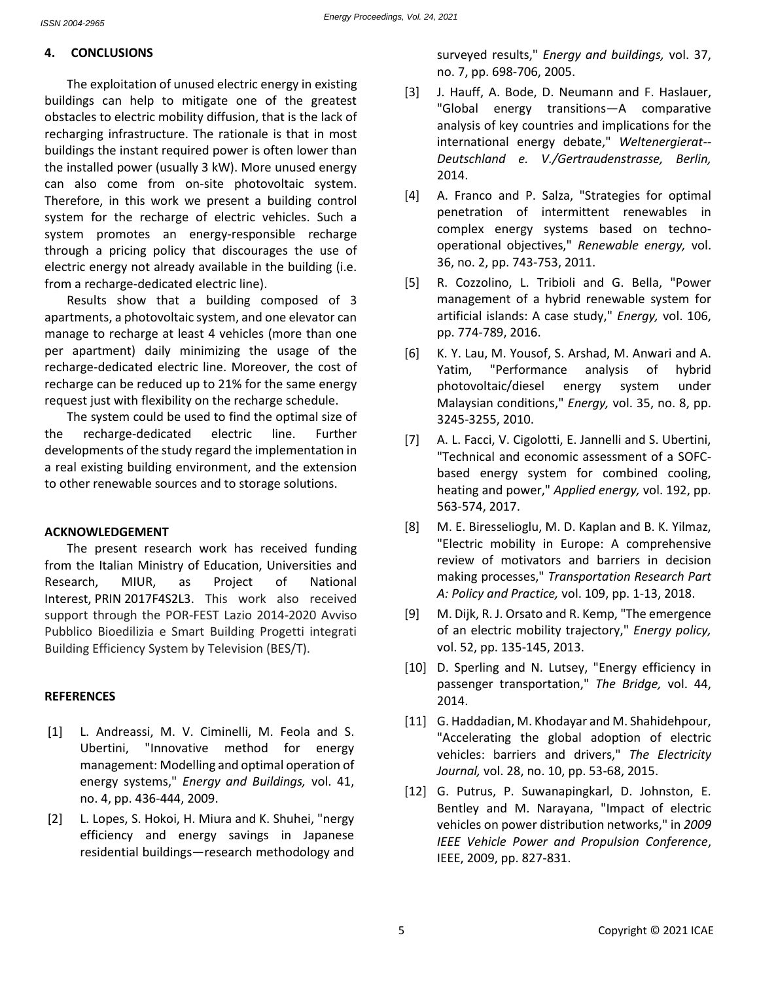# **4. CONCLUSIONS**

The exploitation of unused electric energy in existing buildings can help to mitigate one of the greatest obstacles to electric mobility diffusion, that is the lack of recharging infrastructure. The rationale is that in most buildings the instant required power is often lower than the installed power (usually 3 kW). More unused energy can also come from on-site photovoltaic system. Therefore, in this work we present a building control system for the recharge of electric vehicles. Such a system promotes an energy-responsible recharge through a pricing policy that discourages the use of electric energy not already available in the building (i.e. from a recharge-dedicated electric line).

Results show that a building composed of 3 apartments, a photovoltaic system, and one elevator can manage to recharge at least 4 vehicles (more than one per apartment) daily minimizing the usage of the recharge-dedicated electric line. Moreover, the cost of recharge can be reduced up to 21% for the same energy request just with flexibility on the recharge schedule.

The system could be used to find the optimal size of the recharge-dedicated electric line. Further developments of the study regard the implementation in a real existing building environment, and the extension to other renewable sources and to storage solutions.

## **ACKNOWLEDGEMENT**

The present research work has received funding from the Italian Ministry of Education, Universities and Research, MIUR, as Project of National Interest, PRIN 2017F4S2L3. This work also received support through the POR-FEST Lazio 2014-2020 Avviso Pubblico Bioedilizia e Smart Building Progetti integrati Building Efficiency System by Television (BES/T).

## **REFERENCES**

- [1] L. Andreassi, M. V. Ciminelli, M. Feola and S. Ubertini, "Innovative method for energy management: Modelling and optimal operation of energy systems," *Energy and Buildings,* vol. 41, no. 4, pp. 436-444, 2009.
- [2] L. Lopes, S. Hokoi, H. Miura and K. Shuhei, "nergy efficiency and energy savings in Japanese residential buildings—research methodology and

surveyed results," *Energy and buildings,* vol. 37, no. 7, pp. 698-706, 2005.

- [3] J. Hauff, A. Bode, D. Neumann and F. Haslauer, "Global energy transitions—A comparative analysis of key countries and implications for the international energy debate," *Weltenergierat-- Deutschland e. V./Gertraudenstrasse, Berlin,*  2014.
- [4] A. Franco and P. Salza, "Strategies for optimal penetration of intermittent renewables in complex energy systems based on technooperational objectives," *Renewable energy,* vol. 36, no. 2, pp. 743-753, 2011.
- [5] R. Cozzolino, L. Tribioli and G. Bella, "Power management of a hybrid renewable system for artificial islands: A case study," *Energy,* vol. 106, pp. 774-789, 2016.
- [6] K. Y. Lau, M. Yousof, S. Arshad, M. Anwari and A. Yatim, "Performance analysis of hybrid photovoltaic/diesel energy system under Malaysian conditions," *Energy,* vol. 35, no. 8, pp. 3245-3255, 2010.
- [7] A. L. Facci, V. Cigolotti, E. Jannelli and S. Ubertini, "Technical and economic assessment of a SOFCbased energy system for combined cooling, heating and power," *Applied energy,* vol. 192, pp. 563-574, 2017.
- [8] M. E. Biresselioglu, M. D. Kaplan and B. K. Yilmaz, "Electric mobility in Europe: A comprehensive review of motivators and barriers in decision making processes," *Transportation Research Part A: Policy and Practice,* vol. 109, pp. 1-13, 2018.
- [9] M. Dijk, R. J. Orsato and R. Kemp, "The emergence of an electric mobility trajectory," *Energy policy,*  vol. 52, pp. 135-145, 2013.
- [10] D. Sperling and N. Lutsey, "Energy efficiency in passenger transportation," *The Bridge,* vol. 44, 2014.
- [11] G. Haddadian, M. Khodayar and M. Shahidehpour, "Accelerating the global adoption of electric vehicles: barriers and drivers," *The Electricity Journal,* vol. 28, no. 10, pp. 53-68, 2015.
- [12] G. Putrus, P. Suwanapingkarl, D. Johnston, E. Bentley and M. Narayana, "Impact of electric vehicles on power distribution networks," in *2009 IEEE Vehicle Power and Propulsion Conference*, IEEE, 2009, pp. 827-831.